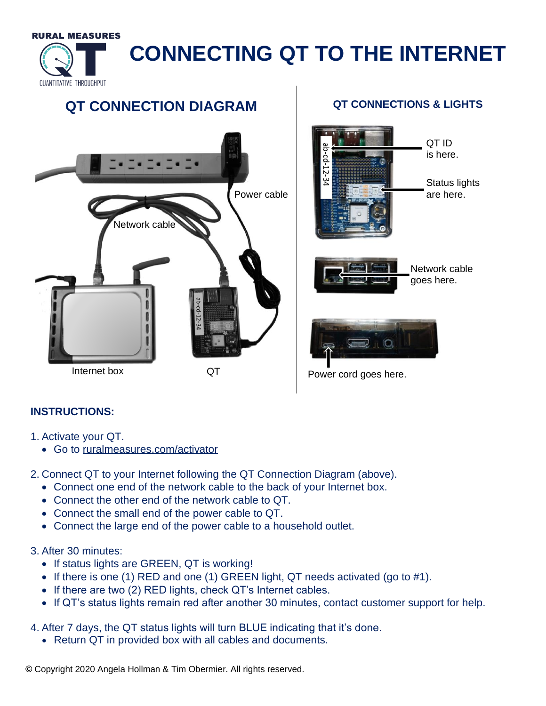

Network cable goes here.

Internet box QT QT Power cord goes here.

## **INSTRUCTIONS:**

- 1. Activate your QT.
	- Go to [ruralmeasures.com/activator](https://ruralmeasures.com/activator)
- 2. Connect QT to your Internet following the QT Connection Diagram (above).
	- Connect one end of the network cable to the back of your Internet box.
	- Connect the other end of the network cable to QT.
	- Connect the small end of the power cable to QT.
	- Connect the large end of the power cable to a household outlet.

ab-cd-12-34

## 3. After 30 minutes:

- If status lights are GREEN, QT is working!
- If there is one (1) RED and one (1) GREEN light, QT needs activated (go to #1).
- If there are two (2) RED lights, check QT's Internet cables.
- If QT's status lights remain red after another 30 minutes, contact customer support for help.

4. After 7 days, the QT status lights will turn BLUE indicating that it's done.

• Return QT in provided box with all cables and documents.

©️ Copyright 2020 Angela Hollman & Tim Obermier. All rights reserved.